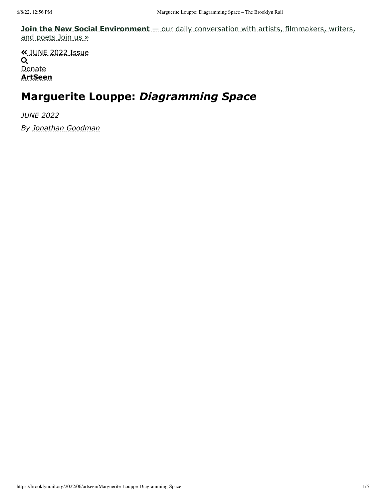**Join the New Social Environment** [— our daily conversation with artists, filmmakers, writers,](https://brooklynrail.org/events?hat) and poets Join us »

 [JUNE 2022 Issue](https://brooklynrail.org/2022/06/artseen/Marguerite-Louppe-Diagramming-Space) Q [Donate](https://brooklynrail.org/donate?a) **[ArtSeen](https://brooklynrail.org/2022/6/artseen)**

## **Marguerite Louppe:** *Diagramming Space*

*JUNE 2022 By [Jonathan Goodman](https://brooklynrail.org/contributor/jonathan-goodman)*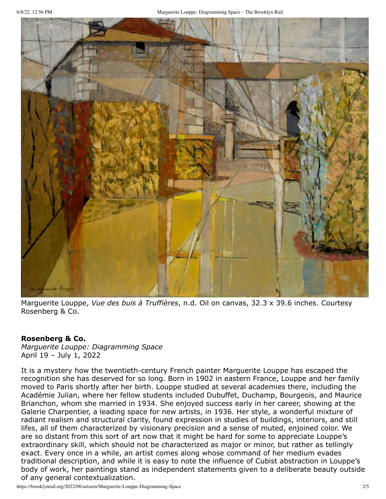

Marguerite Louppe, *Vue des buis à Truffières*, n.d. Oil on canvas, 32.3 x 39.6 inches. Courtesy Rosenberg & Co.

## **Rosenberg & Co.**

*Marguerite Louppe: Diagramming Space* April 19 – July 1, 2022

It is a mystery how the twentieth-century French painter Marguerite Louppe has escaped the recognition she has deserved for so long. Born in 1902 in eastern France, Louppe and her family moved to Paris shortly after her birth. Louppe studied at several academies there, including the Académie Julian, where her fellow students included Dubuffet, Duchamp, Bourgeois, and Maurice Brianchon, whom she married in 1934. She enjoyed success early in her career, showing at the Galerie Charpentier, a leading space for new artists, in 1936. Her style, a wonderful mixture of radiant realism and structural clarity, found expression in studies of buildings, interiors, and still lifes, all of them characterized by visionary precision and a sense of muted, enjoined color. We are so distant from this sort of art now that it might be hard for some to appreciate Louppe's extraordinary skill, which should not be characterized as major or minor, but rather as tellingly exact. Every once in a while, an artist comes along whose command of her medium evades traditional description, and while it is easy to note the influence of Cubist abstraction in Louppe's body of work, her paintings stand as independent statements given to a deliberate beauty outside of any general contextualization.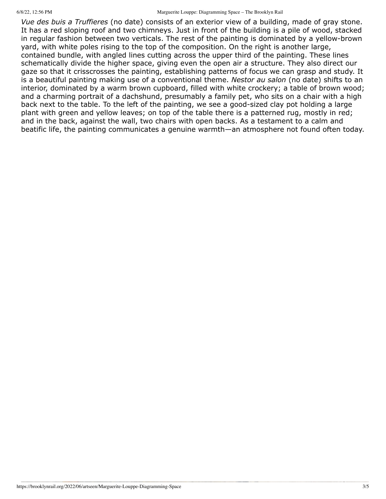6/8/22, 12:56 PM Marguerite Louppe: Diagramming Space – The Brooklyn Rail

*Vue des buis a Truffieres* (no date) consists of an exterior view of a building, made of gray stone. It has a red sloping roof and two chimneys. Just in front of the building is a pile of wood, stacked in regular fashion between two verticals. The rest of the painting is dominated by a yellow-brown yard, with white poles rising to the top of the composition. On the right is another large, contained bundle, with angled lines cutting across the upper third of the painting. These lines schematically divide the higher space, giving even the open air a structure. They also direct our gaze so that it crisscrosses the painting, establishing patterns of focus we can grasp and study. It is a beautiful painting making use of a conventional theme. *Nestor au salon* (no date) shifts to an interior, dominated by a warm brown cupboard, filled with white crockery; a table of brown wood; and a charming portrait of a dachshund, presumably a family pet, who sits on a chair with a high back next to the table. To the left of the painting, we see a good-sized clay pot holding a large plant with green and yellow leaves; on top of the table there is a patterned rug, mostly in red; and in the back, against the wall, two chairs with open backs. As a testament to a calm and beatific life, the painting communicates a genuine warmth—an atmosphere not found often today.